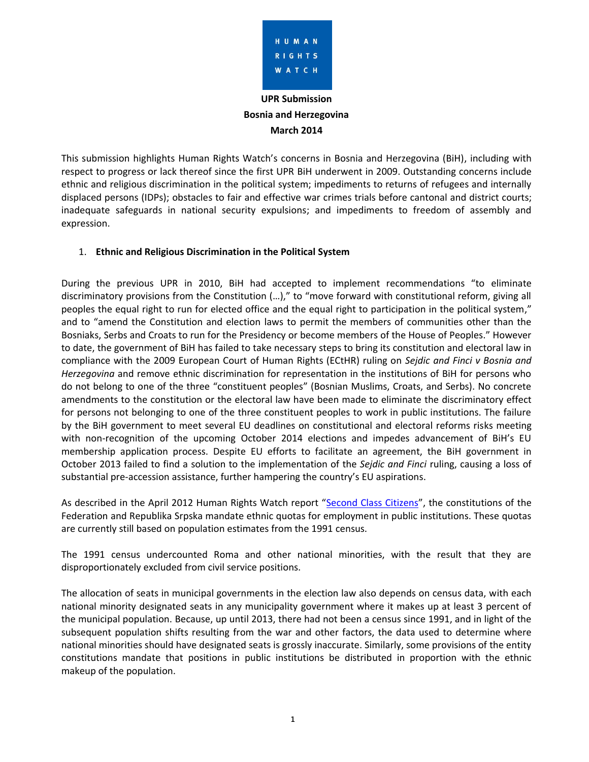

# **UPR Submission Bosnia and Herzegovina March 2014**

This submission highlights Human Rights Watch's concerns in Bosnia and Herzegovina (BiH), including with respect to progress or lack thereof since the first UPR BiH underwent in 2009. Outstanding concerns include ethnic and religious discrimination in the political system; impediments to returns of refugees and internally displaced persons (IDPs); obstacles to fair and effective war crimes trials before cantonal and district courts; inadequate safeguards in national security expulsions; and impediments to freedom of assembly and expression.

## 1. **Ethnic and Religious Discrimination in the Political System**

During the previous UPR in 2010, BiH had accepted to implement recommendations "to eliminate discriminatory provisions from the Constitution (…)," to "move forward with constitutional reform, giving all peoples the equal right to run for elected office and the equal right to participation in the political system," and to "amend the Constitution and election laws to permit the members of communities other than the Bosniaks, Serbs and Croats to run for the Presidency or become members of the House of Peoples." However to date, the government of BiH has failed to take necessary steps to bring its constitution and electoral law in compliance with the 2009 European Court of Human Rights (ECtHR) ruling on *Sejdic and Finci v Bosnia and Herzegovina* and remove ethnic discrimination for representation in the institutions of BiH for persons who do not belong to one of the three "constituent peoples" (Bosnian Muslims, Croats, and Serbs). No concrete amendments to the constitution or the electoral law have been made to eliminate the discriminatory effect for persons not belonging to one of the three constituent peoples to work in public institutions. The failure by the BiH government to meet several EU deadlines on constitutional and electoral reforms risks meeting with non-recognition of the upcoming October 2014 elections and impedes advancement of BiH's EU membership application process. Despite EU efforts to facilitate an agreement, the BiH government in October 2013 failed to find a solution to the implementation of the *Sejdic and Finci* ruling, causing a loss of substantial pre-accession assistance, further hampering the country's EU aspirations.

As described in the April 2012 Human Rights Watch report "[Second Class Citizens](https://www.hrw.org/reports/2012/04/04/second-class-citizens-0)", the constitutions of the Federation and Republika Srpska mandate ethnic quotas for employment in public institutions. These quotas are currently still based on population estimates from the 1991 census.

The 1991 census undercounted Roma and other national minorities, with the result that they are disproportionately excluded from civil service positions.

The allocation of seats in municipal governments in the election law also depends on census data, with each national minority designated seats in any municipality government where it makes up at least 3 percent of the municipal population. Because, up until 2013, there had not been a census since 1991, and in light of the subsequent population shifts resulting from the war and other factors, the data used to determine where national minorities should have designated seats is grossly inaccurate. Similarly, some provisions of the entity constitutions mandate that positions in public institutions be distributed in proportion with the ethnic makeup of the population.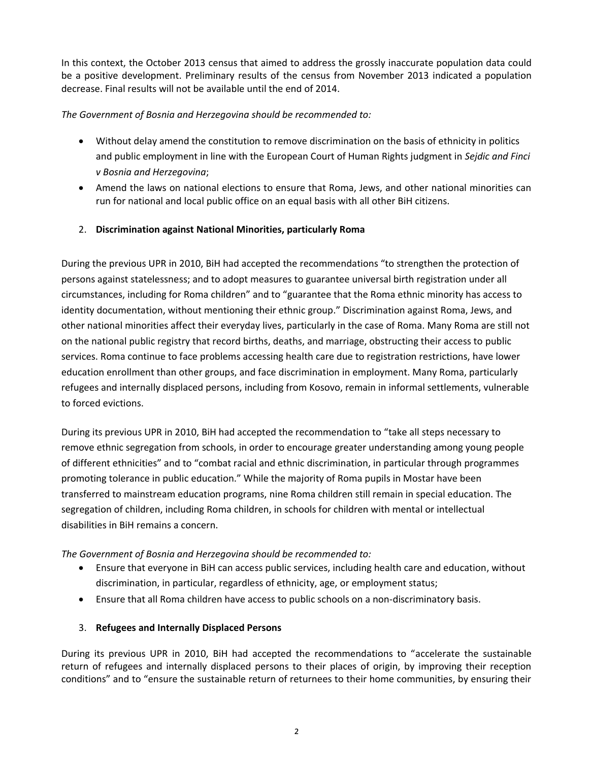In this context, the October 2013 census that aimed to address the grossly inaccurate population data could be a positive development. Preliminary results of the census from November 2013 indicated a population decrease. Final results will not be available until the end of 2014.

## *The Government of Bosnia and Herzegovina should be recommended to:*

- Without delay amend the constitution to remove discrimination on the basis of ethnicity in politics and public employment in line with the European Court of Human Rights judgment in *Sejdic and Finci v Bosnia and Herzegovina*;
- Amend the laws on national elections to ensure that Roma, Jews, and other national minorities can run for national and local public office on an equal basis with all other BiH citizens.

# 2. **Discrimination against National Minorities, particularly Roma**

During the previous UPR in 2010, BiH had accepted the recommendations "to strengthen the protection of persons against statelessness; and to adopt measures to guarantee universal birth registration under all circumstances, including for Roma children" and to "guarantee that the Roma ethnic minority has access to identity documentation, without mentioning their ethnic group." Discrimination against Roma, Jews, and other national minorities affect their everyday lives, particularly in the case of Roma. Many Roma are still not on the national public registry that record births, deaths, and marriage, obstructing their access to public services. Roma continue to face problems accessing health care due to registration restrictions, have lower education enrollment than other groups, and face discrimination in employment. Many Roma, particularly refugees and internally displaced persons, including from Kosovo, remain in informal settlements, vulnerable to forced evictions.

During its previous UPR in 2010, BiH had accepted the recommendation to "take all steps necessary to remove ethnic segregation from schools, in order to encourage greater understanding among young people of different ethnicities" and to "combat racial and ethnic discrimination, in particular through programmes promoting tolerance in public education." While the majority of Roma pupils in Mostar have been transferred to mainstream education programs, nine Roma children still remain in special education. The segregation of children, including Roma children, in schools for children with mental or intellectual disabilities in BiH remains a concern.

*The Government of Bosnia and Herzegovina should be recommended to:*

- Ensure that everyone in BiH can access public services, including health care and education, without discrimination, in particular, regardless of ethnicity, age, or employment status;
- Ensure that all Roma children have access to public schools on a non-discriminatory basis.

# 3. **Refugees and Internally Displaced Persons**

During its previous UPR in 2010, BiH had accepted the recommendations to "accelerate the sustainable return of refugees and internally displaced persons to their places of origin, by improving their reception conditions" and to "ensure the sustainable return of returnees to their home communities, by ensuring their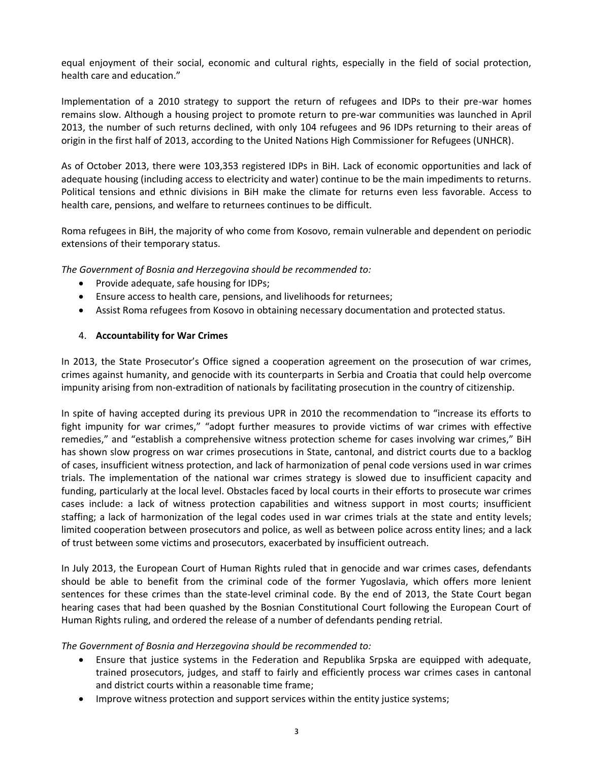equal enjoyment of their social, economic and cultural rights, especially in the field of social protection, health care and education."

Implementation of a 2010 strategy to support the return of refugees and IDPs to their pre-war homes remains slow. Although a housing project to promote return to pre-war communities was launched in April 2013, the number of such returns declined, with only 104 refugees and 96 IDPs returning to their areas of origin in the first half of 2013, according to the United Nations High Commissioner for Refugees (UNHCR).

As of October 2013, there were 103,353 registered IDPs in BiH. Lack of economic opportunities and lack of adequate housing (including access to electricity and water) continue to be the main impediments to returns. Political tensions and ethnic divisions in BiH make the climate for returns even less favorable. Access to health care, pensions, and welfare to returnees continues to be difficult.

Roma refugees in BiH, the majority of who come from Kosovo, remain vulnerable and dependent on periodic extensions of their temporary status.

*The Government of Bosnia and Herzegovina should be recommended to:*

- Provide adequate, safe housing for IDPs;
- Ensure access to health care, pensions, and livelihoods for returnees;
- Assist Roma refugees from Kosovo in obtaining necessary documentation and protected status.

#### 4. **Accountability for War Crimes**

In 2013, the State Prosecutor's Office signed a cooperation agreement on the prosecution of war crimes, crimes against humanity, and genocide with its counterparts in Serbia and Croatia that could help overcome impunity arising from non-extradition of nationals by facilitating prosecution in the country of citizenship.

In spite of having accepted during its previous UPR in 2010 the recommendation to "increase its efforts to fight impunity for war crimes," "adopt further measures to provide victims of war crimes with effective remedies," and "establish a comprehensive witness protection scheme for cases involving war crimes," BiH has shown slow progress on war crimes prosecutions in State, cantonal, and district courts due to a backlog of cases, insufficient witness protection, and lack of harmonization of penal code versions used in war crimes trials. The implementation of the national war crimes strategy is slowed due to insufficient capacity and funding, particularly at the local level. Obstacles faced by local courts in their efforts to prosecute war crimes cases include: a lack of witness protection capabilities and witness support in most courts; insufficient staffing; a lack of harmonization of the legal codes used in war crimes trials at the state and entity levels; limited cooperation between prosecutors and police, as well as between police across entity lines; and a lack of trust between some victims and prosecutors, exacerbated by insufficient outreach.

In July 2013, the European Court of Human Rights ruled that in genocide and war crimes cases, defendants should be able to benefit from the criminal code of the former Yugoslavia, which offers more lenient sentences for these crimes than the state-level criminal code. By the end of 2013, the State Court began hearing cases that had been quashed by the Bosnian Constitutional Court following the European Court of Human Rights ruling, and ordered the release of a number of defendants pending retrial.

*The Government of Bosnia and Herzegovina should be recommended to:*

- Ensure that justice systems in the Federation and Republika Srpska are equipped with adequate, trained prosecutors, judges, and staff to fairly and efficiently process war crimes cases in cantonal and district courts within a reasonable time frame;
- Improve witness protection and support services within the entity justice systems;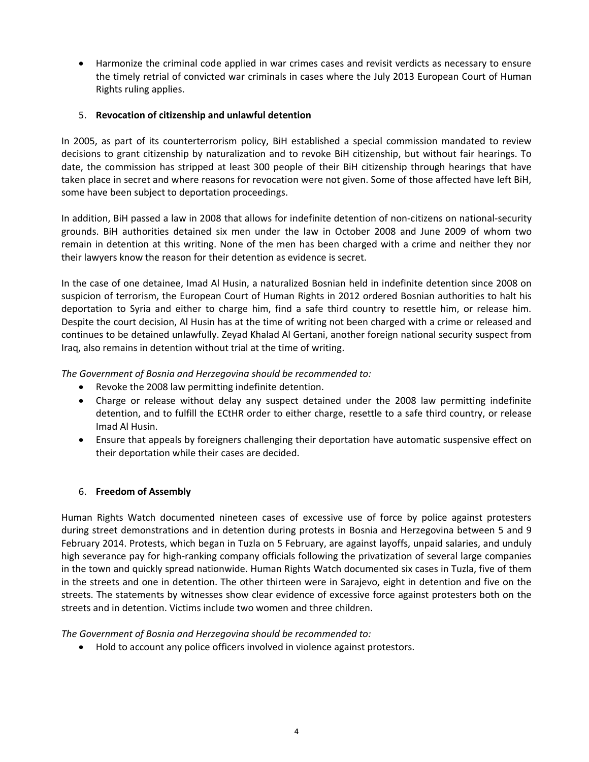Harmonize the criminal code applied in war crimes cases and revisit verdicts as necessary to ensure the timely retrial of convicted war criminals in cases where the July 2013 European Court of Human Rights ruling applies.

#### 5. **Revocation of citizenship and unlawful detention**

In 2005, as part of its counterterrorism policy, BiH established a special commission mandated to review decisions to grant citizenship by naturalization and to revoke BiH citizenship, but without fair hearings. To date, the commission has stripped at least 300 people of their BiH citizenship through hearings that have taken place in secret and where reasons for revocation were not given. Some of those affected have left BiH, some have been subject to deportation proceedings.

In addition, BiH passed a law in 2008 that allows for indefinite detention of non-citizens on national-security grounds. BiH authorities detained six men under the law in October 2008 and June 2009 of whom two remain in detention at this writing. None of the men has been charged with a crime and neither they nor their lawyers know the reason for their detention as evidence is secret.

In the case of one detainee, Imad Al Husin, a naturalized Bosnian held in indefinite detention since 2008 on suspicion of terrorism, the European Court of Human Rights in 2012 ordered Bosnian authorities to halt his deportation to Syria and either to charge him, find a safe third country to resettle him, or release him. Despite the court decision, Al Husin has at the time of writing not been charged with a crime or released and continues to be detained unlawfully. Zeyad Khalad Al Gertani, another foreign national security suspect from Iraq, also remains in detention without trial at the time of writing.

*The Government of Bosnia and Herzegovina should be recommended to:*

- Revoke the 2008 law permitting indefinite detention.
- Charge or release without delay any suspect detained under the 2008 law permitting indefinite detention, and to fulfill the ECtHR order to either charge, resettle to a safe third country, or release Imad Al Husin.
- Ensure that appeals by foreigners challenging their deportation have automatic suspensive effect on their deportation while their cases are decided.

## 6. **Freedom of Assembly**

Human Rights Watch documented nineteen cases of excessive use of force by police against protesters during street demonstrations and in detention during protests in Bosnia and Herzegovina between 5 and 9 February 2014. Protests, which began in Tuzla on 5 February, are against layoffs, unpaid salaries, and unduly high severance pay for high-ranking company officials following the privatization of several large companies in the town and quickly spread nationwide. Human Rights Watch documented six cases in Tuzla, five of them in the streets and one in detention. The other thirteen were in Sarajevo, eight in detention and five on the streets. The statements by witnesses show clear evidence of excessive force against protesters both on the streets and in detention. Victims include two women and three children.

*The Government of Bosnia and Herzegovina should be recommended to:*

Hold to account any police officers involved in violence against protestors.